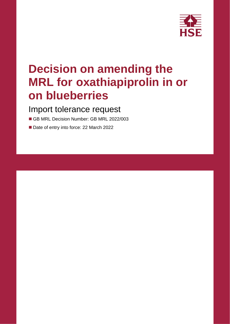

# **Decision on amending the MRL for oxathiapiprolin in or on blueberries**

### Import tolerance request

- GB MRL Decision Number: GB MRL 2022/003
- Date of entry into force: 22 March 2022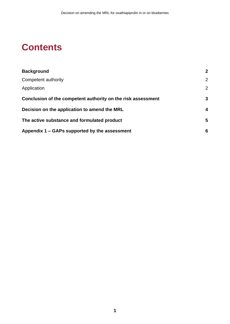## **Contents**

| <b>Background</b>                                            | $\overline{2}$          |
|--------------------------------------------------------------|-------------------------|
| Competent authority                                          | $\overline{2}$          |
| Application                                                  | $\overline{2}$          |
| Conclusion of the competent authority on the risk assessment | 3                       |
| Decision on the application to amend the MRL                 | $\overline{\mathbf{4}}$ |
| The active substance and formulated product                  | 5                       |
| Appendix 1 – GAPs supported by the assessment                | 6                       |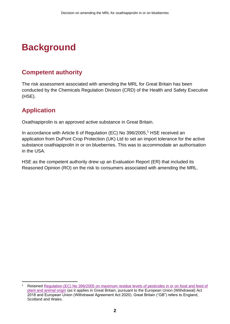## <span id="page-3-0"></span>**Background**

### <span id="page-3-1"></span>**Competent authority**

The risk assessment associated with amending the MRL for Great Britain has been conducted by the Chemicals Regulation Division (CRD) of the Health and Safety Executive (HSE).

### <span id="page-3-2"></span>**Application**

Oxathiapiprolin is an approved active substance in Great Britain.

In accordance with Article 6 of Regulation (EC) No 396/2005, <sup>1</sup> HSE received an application from DuPont Crop Protection (UK) Ltd to set an import tolerance for the active substance oxathiapiprolin in or on blueberries. This was to accommodate an authorisation in the USA.

HSE as the competent authority drew up an Evaluation Report (ER) that included its Reasoned Opinion (RO) on the risk to consumers associated with amending the MRL.

Retained Regulation (EC) No 396/2005 on maximum residue levels of pesticides in or on food and feed of [plant and animal origin](https://www.legislation.gov.uk/eur/2005/396/contents) (as it applies in Great Britain, pursuant to the European Union (Withdrawal) Act 2018 and European Union (Withdrawal Agreement Act 2020). Great Britain ("GB") refers to England, Scotland and Wales.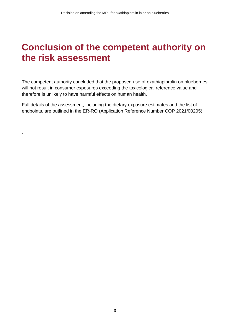### <span id="page-4-0"></span>**Conclusion of the competent authority on the risk assessment**

The competent authority concluded that the proposed use of oxathiapiprolin on blueberries will not result in consumer exposures exceeding the toxicological reference value and therefore is unlikely to have harmful effects on human health.

Full details of the assessment, including the dietary exposure estimates and the list of endpoints, are outlined in the ER-RO (Application Reference Number COP 2021/00205).

.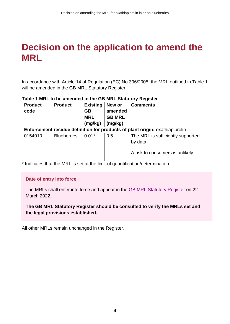### <span id="page-5-0"></span>**Decision on the application to amend the MRL**

In accordance with Article 14 of Regulation (EC) No 396/2005, the MRL outlined in Table 1 will be amended in the GB MRL Statutory Register.

| <b>Product</b><br>code                                                       | <b>Product</b>     | <b>Existing</b><br><b>GB</b><br><b>MRL</b><br>(mg/kg) | New or<br>amended<br><b>GB MRL</b><br>(mg/kg) | <b>Comments</b>                                                                   |  |  |  |  |  |
|------------------------------------------------------------------------------|--------------------|-------------------------------------------------------|-----------------------------------------------|-----------------------------------------------------------------------------------|--|--|--|--|--|
| Enforcement residue definition for products of plant origin: oxathiapiprolin |                    |                                                       |                                               |                                                                                   |  |  |  |  |  |
| 0154010                                                                      | <b>Blueberries</b> | $0.01*$                                               | 0.5                                           | The MRL is sufficiently supported<br>by data.<br>A risk to consumers is unlikely. |  |  |  |  |  |

#### **Table 1 MRL to be amended in the GB MRL Statutory Register**

\* Indicates that the MRL is set at the limit of quantification/determination

#### **Date of entry into force**

The MRLs shall enter into force and appear in the [GB MRL Statutory Register](https://secure.pesticides.gov.uk/MRLs/Main) on 22 March 2022.

#### **The GB MRL Statutory Register should be consulted to verify the MRLs set and the legal provisions established.**

All other MRLs remain unchanged in the Register.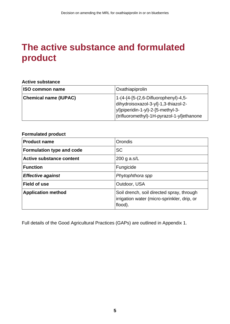## <span id="page-6-0"></span>**The active substance and formulated product**

#### **Active substance**

| <b>ISO common name</b>       | Oxathiapiprolin                                                                                                                                                 |
|------------------------------|-----------------------------------------------------------------------------------------------------------------------------------------------------------------|
| <b>Chemical name (IUPAC)</b> | 1-(4-{4-[5-(2,6-Difluorophenyl)-4,5-<br>dihydroisoxazol-3-yl]-1,3-thiazol-2-<br>yl}piperidin-1-yl)-2-[5-methyl-3-<br>(trifluoromethyl)-1H-pyrazol-1-yl]ethanone |

#### **Formulated product**

| <b>Product name</b>              | <b>Orondis</b>                                                                                      |
|----------------------------------|-----------------------------------------------------------------------------------------------------|
| <b>Formulation type and code</b> | <b>SC</b>                                                                                           |
| <b>Active substance content</b>  | $200$ g a.s/L                                                                                       |
| <b>Function</b>                  | Fungicide                                                                                           |
| <b>Effective against</b>         | Phytophthora spp                                                                                    |
| <b>Field of use</b>              | Outdoor, USA                                                                                        |
| <b>Application method</b>        | Soil drench, soil directed spray, through<br>irrigation water (micro-sprinkler, drip, or<br>flood). |

Full details of the Good Agricultural Practices (GAPs) are outlined in Appendix 1.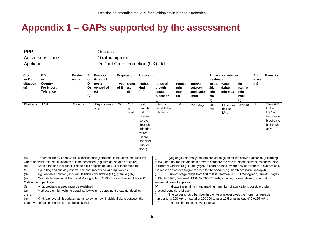## **Appendix 1 – GAPs supported by the assessment**

PPP: Orondis

Active substance: Case Construction Construction of Active substance:

Applicant: DuPont Crop Protection (UK) Ltd

| Crop<br>and/or   | GB<br>or                                  | Product<br>name | F<br>or        | Preparation<br>Pests or<br>Group of |                      | Application          |                                                                                                                                 |                                                 |                              | <b>Application rate per</b><br>treatment    |                                       |                            | <b>PHI</b><br>(days)                | Remarks |                                                                              |
|------------------|-------------------------------------------|-----------------|----------------|-------------------------------------|----------------------|----------------------|---------------------------------------------------------------------------------------------------------------------------------|-------------------------------------------------|------------------------------|---------------------------------------------|---------------------------------------|----------------------------|-------------------------------------|---------|------------------------------------------------------------------------------|
| situation<br>(a) | Country<br>For Import<br><b>Tolerance</b> |                 | G<br>Or<br>(b) | pests<br>controlled<br>(c)          | <b>Type</b><br>(d-f) | Conc.<br>a.s.<br>(i) | method<br>kind<br>(f-h)                                                                                                         | range of<br>growth<br>stages<br>& season<br>(j) | number<br>min-<br>max<br>(k) | Interval<br>between<br>application<br>(min) | $kg$ a.s<br>/hL<br>min-<br>max<br>(1) | Water<br>(L/ha)<br>min-max | kg<br>a.s./ha<br>min-<br>max<br>(1) | (m)     |                                                                              |
| Blueberry        | <b>USA</b>                                | Orondis         | F              | Phytophthora<br>spp                 | <b>SC</b>            | 200<br>g<br>a.s/L    | Soil<br>drench,<br>soil<br>directed<br>spray,<br>through<br>irrigation<br>water<br>(micro-<br>sprinkler,<br>drip, or<br>flood). | New or<br>established<br>plantings              | $1 - 2$                      | $7-30$ days                                 | $48 -$<br>200                         | Minimum<br>of 140<br>L/ha  | 67-280                              |         | The GAP<br>in the<br>USA is<br>for use on<br>blueberry,<br>highbush<br>only. |

<span id="page-7-0"></span>

| (a)    | For crops, the GB and Codex classifications (both) should be taken into account;       | g/kg or g/L. Normally the rate should be given for the active substance (according<br>(i)          |  |  |  |  |  |
|--------|----------------------------------------------------------------------------------------|----------------------------------------------------------------------------------------------------|--|--|--|--|--|
|        | where relevant, the use situation should be described (e.g. fumigation of a structure) | to ISO) and not for the variant in order to compare the rate for same active substances used       |  |  |  |  |  |
| (b)    | State if the use is outdoor, field use (F) or glass house (G) or indoor use (I).       | in different variants (e.g. fluoroxypyr). In certain cases, where only one variant is synthesised, |  |  |  |  |  |
| (c)    | e.g. biting and sucking insects, soil born insects, foliar fungi, weeds                | it is more appropriate to give the rate for the variant (e.g. benthiavalicarb-isopropyl).          |  |  |  |  |  |
| (d)    | e.g. wettable powder (WP), emulsifiable concentrate (EC), granule (GR)                 | Growth stage range from first to last treatment (BBCH Monograph, Growth Stages                     |  |  |  |  |  |
| (e)    | CropLife International Technical Monograph no 2, 6th Edition. Revised May 2008.        | of Plants, 1997, Blackwell, ISBN 3-8263-3152-4), including where relevant, information on          |  |  |  |  |  |
|        | Catalogue of pesticide                                                                 | season at time of application                                                                      |  |  |  |  |  |
|        | All abbreviations used must be explained                                               | Indicate the minimum and maximum number of applications possible under<br>(k)                      |  |  |  |  |  |
| (g)    | Method, e.g. high volume spraying, low volume spraying, spreading, dusting,            | practical conditions of use                                                                        |  |  |  |  |  |
| drench |                                                                                        | The values should be given in g or kg whatever gives the more manageable<br>(1)                    |  |  |  |  |  |
| (h)    | Kind, e.g. overall, broadcast, aerial spraying, row, individual plant, between the     | number (e.g. 200 kg/ha instead of 200 000 g/ha or 12.5 g/ha instead of 0.0125 kg/ha                |  |  |  |  |  |
|        | plant-type of equipment used must be indicated                                         | PHI - minimum pre-harvest interval<br>(m)                                                          |  |  |  |  |  |